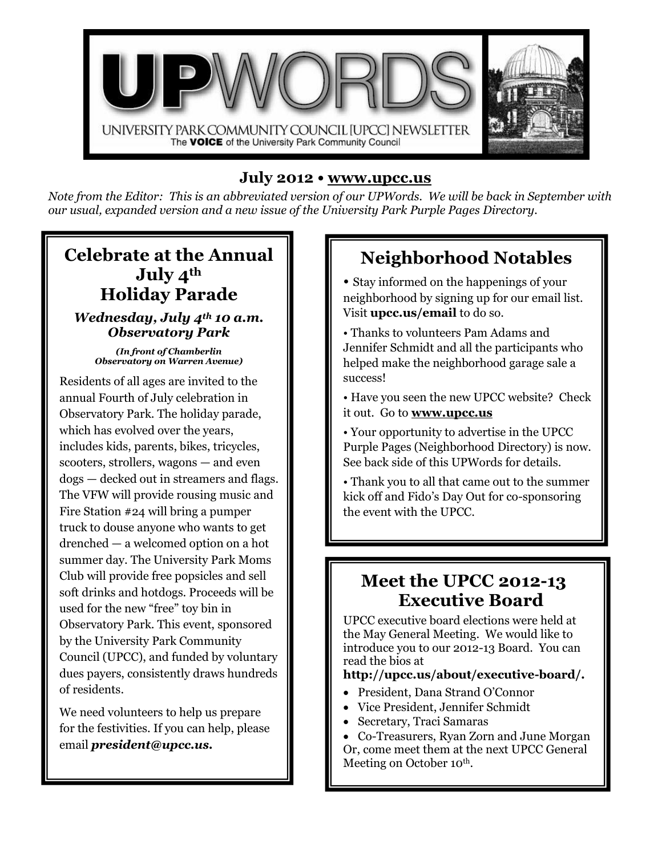

### **July 2012 • [www.upcc.us](http://www.upcc.us/)**

*Note from the Editor: This is an abbreviated version of our UPWords. We will be back in September with our usual, expanded version and a new issue of the University Park Purple Pages Directory.*

### **Celebrate at the Annual July 4th Holiday Parade**

*Wednesday, July 4th 10 a.m. Observatory Park* 

*(In front of Chamberlin Observatory on Warren Avenue)*

Residents of all ages are invited to the annual Fourth of July celebration in Observatory Park. The holiday parade, which has evolved over the years, includes kids, parents, bikes, tricycles, scooters, strollers, wagons — and even dogs — decked out in streamers and flags. The VFW will provide rousing music and Fire Station #24 will bring a pumper truck to douse anyone who wants to get drenched — a welcomed option on a hot summer day. The University Park Moms Club will provide free popsicles and sell soft drinks and hotdogs. Proceeds will be used for the new "free" toy bin in Observatory Park. This event, sponsored by the University Park Community Council (UPCC), and funded by voluntary dues payers, consistently draws hundreds of residents.

We need volunteers to help us prepare for the festivities. If you can help, please email *president@upcc.us.*

## **Neighborhood Notables**

- Stay informed on the happenings of your neighborhood by signing up for our email list. Visit **upcc.us/email** to do so.
- Thanks to volunteers Pam Adams and Jennifer Schmidt and all the participants who helped make the neighborhood garage sale a success!
- Have you seen the new UPCC website? Check it out. Go to **[www.upcc.us](http://www.upcc.us/)**
- Your opportunity to advertise in the UPCC Purple Pages (Neighborhood Directory) is now. See back side of this UPWords for details.
- Thank you to all that came out to the summer kick off and Fido's Day Out for co-sponsoring the event with the UPCC.

## **Meet the UPCC 2012-13 Executive Board**

UPCC executive board elections were held at the May General Meeting. We would like to introduce you to our 2012-13 Board. You can read the bios at

#### **http://upcc.us/about/executive-board/.**

- President, Dana Strand O'Connor
- Vice President, Jennifer Schmidt
- Secretary, Traci Samaras
- Co-Treasurers, Ryan Zorn and June Morgan Or, come meet them at the next UPCC General Meeting on October 10<sup>th</sup>.